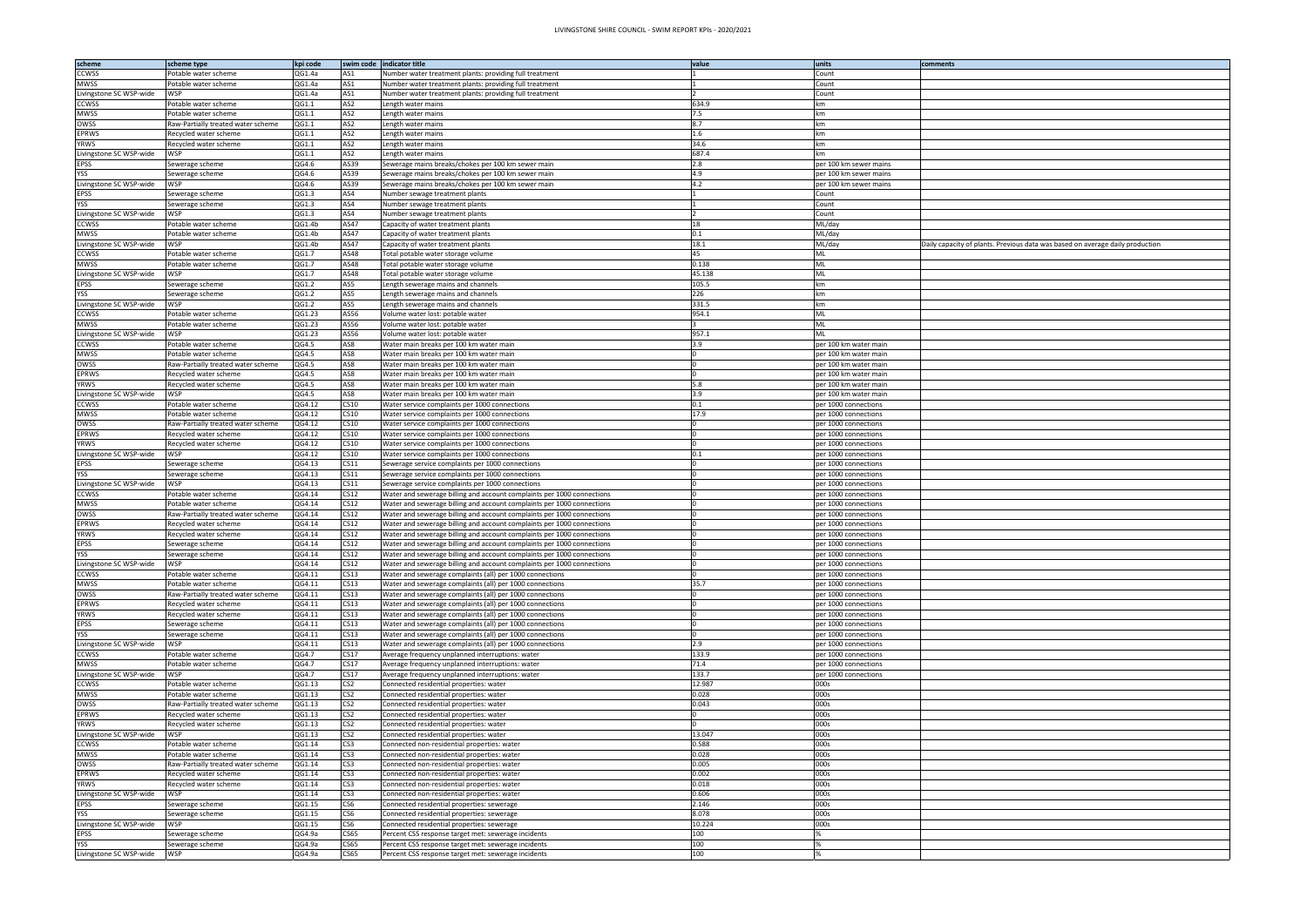| scheme                                  | scheme type                                                 | kpi code         | swim code                            | indicator title                                                                                                                                  | value          | lunits                                           | comments                                                                      |
|-----------------------------------------|-------------------------------------------------------------|------------------|--------------------------------------|--------------------------------------------------------------------------------------------------------------------------------------------------|----------------|--------------------------------------------------|-------------------------------------------------------------------------------|
| <b>CCWSS</b>                            | Potable water scheme                                        | QG1.4a           | AS1                                  | Number water treatment plants: providing full treatment                                                                                          |                | Count                                            |                                                                               |
| <b>MWSS</b><br>Livingstone SC WSP-wide  | Potable water scheme<br>WSP                                 | QG1.4a           | AS1                                  | Jumber water treatment plants: providing full treatment                                                                                          |                | Count                                            |                                                                               |
| <b>CCWSS</b>                            | Potable water scheme                                        | QG1.4a<br>QG1.1  | AS1<br>AS2                           | Number water treatment plants: providing full treatment<br>ength water mains.                                                                    | 634.9          | Count<br><b>sm</b>                               |                                                                               |
| <b>MWSS</b>                             | Potable water scheme                                        | QG1.1            | AS <sub>2</sub>                      | ength water mains.                                                                                                                               | 7.5            | km                                               |                                                                               |
| OWSS                                    | ≀aw-Partially treated water scheme                          | QG1.1            | AS <sub>2</sub>                      | ength water mains.                                                                                                                               | 3.7            | km                                               |                                                                               |
| <b>EPRWS</b>                            | Recycled water scheme                                       | QG1.1            | AS <sub>2</sub>                      | ength water mains.                                                                                                                               | 1.6            | km                                               |                                                                               |
| <b>YRWS</b>                             | Recycled water scheme                                       | QG1.1            | AS2                                  | ength water mains.                                                                                                                               | 34.6           | km                                               |                                                                               |
| Livingstone SC WSP-wide                 | WSP                                                         | QG1.1            | AS2                                  | ength water mains                                                                                                                                | 687.4          | km                                               |                                                                               |
| <b>EPSS</b><br><b>YSS</b>               | Sewerage scheme                                             | QG4.6<br>QG4.6   | AS39<br>AS39                         | Sewerage mains breaks/chokes per 100 km sewer main<br>Sewerage mains breaks/chokes per 100 km sewer main                                         | 2.8<br>1.9     | per 100 km sewer mains<br>per 100 km sewer mains |                                                                               |
| Livingstone SC WSP-wide                 | Sewerage scheme<br>WSP                                      | QG4.6            | AS39                                 | Sewerage mains breaks/chokes per 100 km sewer main                                                                                               | 4.2            | per 100 km sewer mains                           |                                                                               |
| <b>EPSS</b>                             | Sewerage scheme                                             | QG1.3            | AS4                                  | Number sewage treatment plants                                                                                                                   |                | Count                                            |                                                                               |
| <b>YSS</b>                              | Sewerage scheme                                             | QG1.3            | AS4                                  | Number sewage treatment plants                                                                                                                   |                | Count                                            |                                                                               |
| Livingstone SC WSP-wide                 | WSP                                                         | QG1.3            | AS4                                  | Number sewage treatment plants                                                                                                                   |                | Count                                            |                                                                               |
| <b>CCWSS</b>                            | Potable water scheme                                        | QG1.4b           | AS47                                 | Capacity of water treatment plants                                                                                                               | 18             | ML/day                                           |                                                                               |
| <b>MWSS</b><br>Livingstone SC WSP-wide  | Potable water scheme<br>WSP                                 | QG1.4b<br>QG1.4b | AS47<br>AS47                         | Capacity of water treatment plants<br>Capacity of water treatment plants                                                                         | 0.1<br>18.1    | ML/day<br>ML/day                                 | Daily capacity of plants. Previous data was based on average daily production |
| CCWSS                                   | Potable water scheme                                        | QG1.7            | AS48                                 | Fotal potable water storage volume                                                                                                               | 45             | <b>ML</b>                                        |                                                                               |
| <b>MWSS</b>                             | Potable water scheme                                        | QG1.7            | AS48                                 | Fotal potable water storage volume                                                                                                               | 0.138          | ML                                               |                                                                               |
| Livingstone SC WSP-wide                 | WSP                                                         | QG1.7            | AS48                                 | Fotal potable water storage volume                                                                                                               | 45.138         | ML                                               |                                                                               |
| <b>EPSS</b>                             | Sewerage scheme                                             | QG1.2            | AS5                                  | ength sewerage mains and channels.                                                                                                               | 105.5          | km                                               |                                                                               |
| <b>YSS</b>                              | Sewerage scheme                                             | QG1.2            | AS5                                  | ength sewerage mains and channels.                                                                                                               | 226            | km                                               |                                                                               |
| Livingstone SC WSP-wide<br><b>CCWSS</b> | WSP                                                         | QG1.2<br>QG1.23  | AS5<br>AS56                          | ength sewerage mains and channels.                                                                                                               | 331.5<br>954.1 | km<br>ML                                         |                                                                               |
| <b>MWSS</b>                             | Potable water scheme<br>Potable water scheme                | QG1.23           | AS56                                 | /olume water lost: potable water<br>Volume water lost: potable water                                                                             |                | <b>ML</b>                                        |                                                                               |
| Livingstone SC WSP-wide                 | WSP                                                         | QG1.23           | AS56                                 | Volume water lost: potable water                                                                                                                 | 957.1          | ML                                               |                                                                               |
| <b>CCWSS</b>                            | Potable water scheme                                        | QG4.5            | AS8                                  | Water main breaks per 100 km water main                                                                                                          | 3.9            | per 100 km water main                            |                                                                               |
| <b>MWSS</b>                             | Potable water scheme                                        | QG4.5            | AS8                                  | Water main breaks per 100 km water main                                                                                                          |                | oer 100 km water mair                            |                                                                               |
| OWSS                                    | Raw-Partially treated water scheme                          | QG4.5            | AS8                                  | Water main breaks per 100 km water main                                                                                                          |                | per 100 km water main                            |                                                                               |
| <b>EPRWS</b><br><b>YRWS</b>             | Recycled water scheme                                       | QG4.5            | AS8                                  | Water main breaks per 100 km water main                                                                                                          | 5.8            | oer 100 km water mair                            |                                                                               |
| Livingstone SC WSP-wide                 | Recycled water scheme<br>WSP                                | QG4.5<br>QG4.5   | AS8<br>AS8                           | Water main breaks per 100 km water main<br>Water main breaks per 100 km water main                                                               | 3.9            | per 100 km water main<br>per 100 km water mair   |                                                                               |
| <b>CCWSS</b>                            | Potable water scheme                                        | QG4.12           | CS10                                 | Water service complaints per 1000 connections                                                                                                    | 0.1            | per 1000 connections                             |                                                                               |
| <b>MWSS</b>                             | Potable water scheme                                        | QG4.12           | CS10                                 | Water service complaints per 1000 connections                                                                                                    | 17.9           | per 1000 connections                             |                                                                               |
| OWSS                                    | Raw-Partially treated water scheme                          | QG4.12           | CS10                                 | Water service complaints per 1000 connections                                                                                                    |                | per 1000 connections                             |                                                                               |
| <b>EPRWS</b>                            | Recycled water scheme                                       | QG4.12           | CS10                                 | Water service complaints per 1000 connections                                                                                                    |                | per 1000 connections                             |                                                                               |
| <b>YRWS</b>                             | Recycled water scheme<br>WSP                                | QG4.12           | CS10                                 | Water service complaints per 1000 connections                                                                                                    | $^{1.1}$       | per 1000 connections                             |                                                                               |
| Livingstone SC WSP-wide<br><b>EPSS</b>  | Sewerage scheme                                             | QG4.12<br>QG4.13 | CS10<br>CS11                         | Water service complaints per 1000 connections<br>Sewerage service complaints per 1000 connections                                                |                | per 1000 connections<br>per 1000 connections     |                                                                               |
| <b>YSS</b>                              | Sewerage scheme                                             | QG4.13           | CS11                                 | Sewerage service complaints per 1000 connections                                                                                                 |                | per 1000 connections                             |                                                                               |
| Livingstone SC WSP-wide                 | WSP                                                         | QG4.13           | CS11                                 | Sewerage service complaints per 1000 connections                                                                                                 |                | per 1000 connections                             |                                                                               |
| <b>CCWSS</b>                            | Potable water scheme                                        | QG4.14           | CS <sub>12</sub>                     | Water and sewerage billing and account complaints per 1000 connections                                                                           |                | per 1000 connections                             |                                                                               |
| <b>MWSS</b>                             | Potable water scheme                                        | QG4.14           | CS <sub>12</sub>                     | Water and sewerage billing and account complaints per 1000 connections                                                                           |                | per 1000 connections                             |                                                                               |
| OWSS<br><b>EPRWS</b>                    | Raw-Partially treated water scheme<br>Recycled water scheme | QG4.14<br>QG4.14 | CS <sub>12</sub><br>CS <sub>12</sub> | Water and sewerage billing and account complaints per 1000 connections<br>Water and sewerage billing and account complaints per 1000 connections |                | per 1000 connections<br>per 1000 connections     |                                                                               |
| <b>YRWS</b>                             | Recycled water scheme                                       | QG4.14           | CS <sub>12</sub>                     | Water and sewerage billing and account complaints per 1000 connections                                                                           |                | per 1000 connections                             |                                                                               |
| <b>EPSS</b>                             | Sewerage scheme                                             | QG4.14           | CS <sub>12</sub>                     | Water and sewerage billing and account complaints per 1000 connections                                                                           |                | per 1000 connections                             |                                                                               |
| YSS                                     | Sewerage scheme                                             | QG4.14           | CS12                                 | Water and sewerage billing and account complaints per 1000 connections                                                                           |                | per 1000 connections                             |                                                                               |
| Livingstone SC WSP-wide                 | WSP                                                         | QG4.14           | CS12                                 | Water and sewerage billing and account complaints per 1000 connections                                                                           |                | per 1000 connections                             |                                                                               |
| <b>CCWSS</b>                            | Potable water scheme                                        | QG4.11           | CS13                                 | Water and sewerage complaints (all) per 1000 connections                                                                                         |                | per 1000 connections                             |                                                                               |
| <b>MWSS</b><br>OWSS                     | Potable water scheme<br>Raw-Partially treated water scheme  | QG4.11<br>QG4.11 | CS13<br>CS13                         | Water and sewerage complaints (all) per 1000 connections<br>Water and sewerage complaints (all) per 1000 connections                             | 35.7           | per 1000 connections<br>per 1000 connections     |                                                                               |
| <b>EPRWS</b>                            | Recycled water scheme                                       | QG4.11           | CS13                                 | Water and sewerage complaints (all) per 1000 connections                                                                                         |                | per 1000 connections                             |                                                                               |
| <b>YRWS</b>                             | Recycled water scheme                                       | QG4.11           | CS13                                 | Water and sewerage complaints (all) per 1000 connections                                                                                         |                | per 1000 connections                             |                                                                               |
| <b>EPSS</b>                             | ewerage scheme                                              | QG4.11           | CS13                                 | Water and sewerage complaints (all) per 1000 connections                                                                                         |                | per 1000 connections                             |                                                                               |
| <b>YSS</b>                              | Sewerage scheme                                             | QG4.11           | CS13                                 | Water and sewerage complaints (all) per 1000 connections                                                                                         |                | per 1000 connections                             |                                                                               |
| Livingstone SC WSP-wide<br><b>CCWSS</b> | WSP<br>Potable water scheme                                 | QG4.11<br>QG4.7  | CS13<br>CS17                         | Water and sewerage complaints (all) per 1000 connections                                                                                         | 2.9<br>133.9   | per 1000 connections<br>per 1000 connections     |                                                                               |
| <b>MWSS</b>                             | Potable water scheme                                        | QG4.7            | CS <sub>17</sub>                     | Average frequency unplanned interruptions: water<br>Average frequency unplanned interruptions: water                                             | 71.4           | per 1000 connections                             |                                                                               |
| Livingstone SC WSP-wide                 | WSP                                                         | QG4.7            | CS17                                 | Average frequency unplanned interruptions: water                                                                                                 | 133.7          | per 1000 connections                             |                                                                               |
| <b>CCWSS</b>                            | Potable water scheme                                        | QG1.13           | CS <sub>2</sub>                      | Connected residential properties: water                                                                                                          | 12.987         | 000s                                             |                                                                               |
| <b>MWSS</b>                             | Potable water scheme                                        | QG1.13           | CS <sub>2</sub>                      | Connected residential properties: water                                                                                                          | 0.028          | 000s                                             |                                                                               |
| OWSS                                    | Raw-Partially treated water scheme                          | QG1.13           | CS <sub>2</sub>                      | Connected residential properties: water                                                                                                          | 0.043          | 000s                                             |                                                                               |
| <b>EPRWS</b><br><b>YRWS</b>             | Recycled water scheme                                       | QG1.13<br>QG1.13 | CS <sub>2</sub><br>CS <sub>2</sub>   | Connected residential properties: water                                                                                                          |                | 000s<br>000s                                     |                                                                               |
| Livingstone SC WSP-wide                 | Recycled water scheme<br>WSP                                | QG1.13           | CS <sub>2</sub>                      | Connected residential properties: water<br>Connected residential properties: water                                                               | 13.047         | 000s                                             |                                                                               |
| <b>CCWSS</b>                            | Potable water scheme                                        | QG1.14           | CS <sub>3</sub>                      | Connected non-residential properties: water                                                                                                      | 0.588          | 000s                                             |                                                                               |
| <b>MWSS</b>                             | Potable water scheme                                        | QG1.14           | CS <sub>3</sub>                      | Connected non-residential properties: water                                                                                                      | 0.028          | 000s                                             |                                                                               |
| OWSS                                    | Raw-Partially treated water scheme                          | QG1.14           | CS <sub>3</sub>                      | Connected non-residential properties: water                                                                                                      | 0.005          | 000s                                             |                                                                               |
| <b>EPRWS</b>                            | Recycled water scheme                                       | QG1.14           | CS <sub>3</sub>                      | Connected non-residential properties: water                                                                                                      | 0.002          | 000s                                             |                                                                               |
| <b>YRWS</b><br>Livingstone SC WSP-wide  | Recycled water scheme<br>WSP                                | QG1.14<br>QG1.14 | CS <sub>3</sub><br>CS <sub>3</sub>   | Connected non-residential properties: water<br>Connected non-residential properties: water                                                       | 0.018<br>0.606 | 000s<br>000s                                     |                                                                               |
| <b>EPSS</b>                             | Sewerage scheme                                             | QG1.15           | CS <sub>6</sub>                      | Connected residential properties: sewerage                                                                                                       | 2.146          | 000s                                             |                                                                               |
| <b>YSS</b>                              | Sewerage scheme                                             | QG1.15           | CS <sub>6</sub>                      | Connected residential properties: sewerage                                                                                                       | 3.078          | 000s                                             |                                                                               |
| Livingstone SC WSP-wide                 | WSP                                                         | QG1.15           | CS6                                  | Connected residential properties: sewerage                                                                                                       | 10.224         | 000s                                             |                                                                               |
| <b>EPSS</b>                             | Sewerage scheme                                             | QG4.9a           | CS65                                 | Percent CSS response target met: sewerage incidents                                                                                              | 100            |                                                  |                                                                               |
| <b>YSS</b>                              | Sewerage scheme<br>WSP                                      | QG4.9a           | <b>CS65</b><br><b>CS65</b>           | Percent CSS response target met: sewerage incidents                                                                                              | 100            |                                                  |                                                                               |
| Livingstone SC WSP-wide                 |                                                             | QG4.9a           |                                      | Percent CSS response target met: sewerage incidents                                                                                              | 100            |                                                  |                                                                               |

| ts. Previous data was based on average daily production |
|---------------------------------------------------------|
|                                                         |
|                                                         |
|                                                         |
|                                                         |
|                                                         |
|                                                         |
|                                                         |
|                                                         |
|                                                         |
|                                                         |
|                                                         |
|                                                         |
|                                                         |
|                                                         |
|                                                         |
|                                                         |
|                                                         |
|                                                         |
|                                                         |
|                                                         |
|                                                         |
|                                                         |
|                                                         |
|                                                         |
|                                                         |
|                                                         |
|                                                         |
|                                                         |
|                                                         |
|                                                         |
|                                                         |
|                                                         |
|                                                         |
|                                                         |
|                                                         |
|                                                         |
|                                                         |
|                                                         |
|                                                         |
|                                                         |
|                                                         |
|                                                         |
|                                                         |
|                                                         |
|                                                         |
|                                                         |
|                                                         |
|                                                         |
|                                                         |
|                                                         |
|                                                         |
|                                                         |
|                                                         |
|                                                         |
|                                                         |
|                                                         |
|                                                         |
|                                                         |
|                                                         |
|                                                         |
|                                                         |
|                                                         |
|                                                         |
|                                                         |
|                                                         |
|                                                         |
|                                                         |
|                                                         |
|                                                         |
|                                                         |
|                                                         |
|                                                         |
|                                                         |
|                                                         |
|                                                         |
|                                                         |
|                                                         |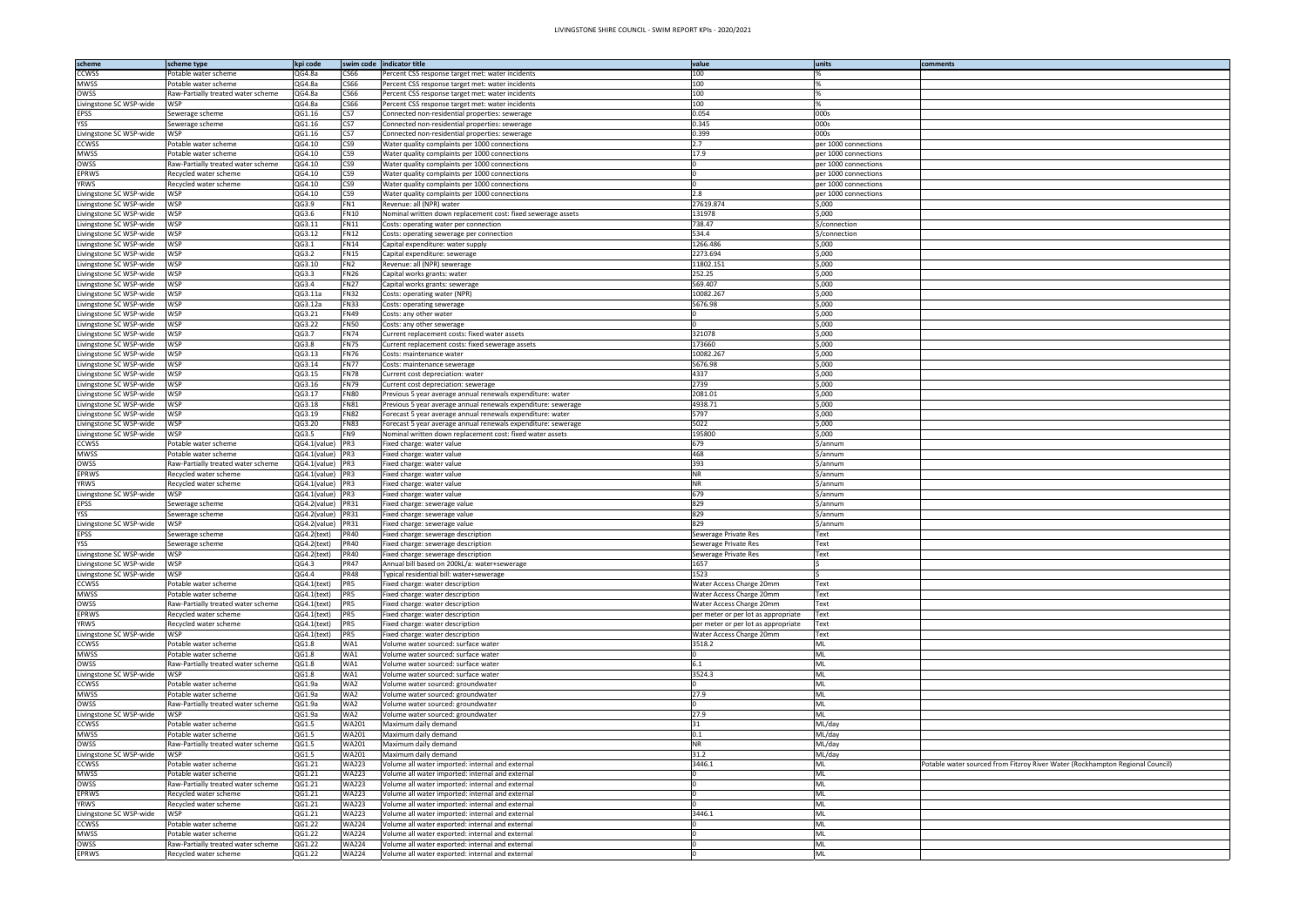| scheme                  | scheme type                        | kpi code     |                 | swim code indicator title                                     | value                               | units                | comments                                                                      |
|-------------------------|------------------------------------|--------------|-----------------|---------------------------------------------------------------|-------------------------------------|----------------------|-------------------------------------------------------------------------------|
| <b>CCWSS</b>            | Potable water scheme               | QG4.8a       | CS66            | Percent CSS response target met: water incidents              | 100                                 |                      |                                                                               |
| MWSS                    | Potable water scheme               | QG4.8a       | 366             | Percent CSS response target met: water incidents              | 100                                 |                      |                                                                               |
| OWSS                    | Raw-Partially treated water scheme | QG4.8a       | CS66            |                                                               | 100                                 |                      |                                                                               |
|                         |                                    |              |                 | Percent CSS response target met: water incidents              |                                     |                      |                                                                               |
| Livingstone SC WSP-wide | WSP                                | QG4.8a       | CS66            | Percent CSS response target met: water incidents              | 100                                 |                      |                                                                               |
| EPSS                    | Sewerage scheme                    | QG1.16       | CS7             | Connected non-residential properties: sewerage                | 0.054                               | 000s                 |                                                                               |
| <b>YSS</b>              | Sewerage scheme                    | QG1.16       | CS7             | Connected non-residential properties: sewerage                | 0.345                               | 000s                 |                                                                               |
| Livingstone SC WSP-wide | WSP                                | QG1.16       | CS7             | Connected non-residential properties: sewerage                | 0.399                               | 000s                 |                                                                               |
| <b>CCWSS</b>            | Potable water scheme               | QG4.10       | CS9             | Water quality complaints per 1000 connections                 | 2.7                                 | per 1000 connections |                                                                               |
| MWSS                    | Potable water scheme               | QG4.10       | CS9             | Water quality complaints per 1000 connections                 | 17.9                                | per 1000 connections |                                                                               |
| OWSS                    | Raw-Partially treated water scheme | QG4.10       | CS9             | Water quality complaints per 1000 connections                 |                                     | per 1000 connections |                                                                               |
| <b>EPRWS</b>            | Recycled water scheme              | QG4.10       | CS9             | Water quality complaints per 1000 connections                 |                                     | per 1000 connections |                                                                               |
| <b>YRWS</b>             | Recycled water scheme              | QG4.10       | CS9             | Water quality complaints per 1000 connections                 |                                     | per 1000 connections |                                                                               |
| Livingstone SC WSP-wide | WSP                                | QG4.10       | CS9             | Water quality complaints per 1000 connections                 | 2.8                                 | per 1000 connections |                                                                               |
|                         | WSP                                | QG3.9        |                 |                                                               | 27619.874                           |                      |                                                                               |
| Livingstone SC WSP-wide |                                    |              | FN1             | Revenue: all (NPR) water                                      |                                     | ,000                 |                                                                               |
| Livingstone SC WSP-wide | WSP                                | QG3.6        | FN10            | Nominal written down replacement cost: fixed sewerage assets  | 131978                              | ,000                 |                                                                               |
| Livingstone SC WSP-wide | WSP                                | QG3.11       | <b>FN11</b>     | Costs: operating water per connection                         | 738.47                              | \$/connection        |                                                                               |
| Livingstone SC WSP-wide | WSP                                | QG3.12       | FN12            | Costs: operating sewerage per connection                      | 534.4                               | \$/connection        |                                                                               |
| Livingstone SC WSP-wide | WSP                                | QG3.1        | <b>FN14</b>     | Capital expenditure: water supply                             | 1266.486                            | \$,000               |                                                                               |
| Livingstone SC WSP-wide | WSP                                | QG3.2        | <b>FN15</b>     | Capital expenditure: sewerage                                 | 2273.694                            | ,000                 |                                                                               |
| Livingstone SC WSP-wide | WSP                                | QG3.10       | FN <sub>2</sub> | Revenue: all (NPR) sewerage                                   | 11802.151                           | ,000                 |                                                                               |
| Livingstone SC WSP-wide | WSP                                | QG3.3        | <b>FN26</b>     | Capital works grants: water                                   | 252.25                              | ,000                 |                                                                               |
| Livingstone SC WSP-wide | WSP                                | QG3.4        | <b>FN27</b>     | Capital works grants: sewerage                                | 569.407                             | 5,000                |                                                                               |
| Livingstone SC WSP-wide | WSP                                | QG3.11a      | <b>FN32</b>     | Costs: operating water (NPR)                                  | 10082.267                           | ,000                 |                                                                               |
|                         | WSP                                |              |                 |                                                               |                                     |                      |                                                                               |
| Livingstone SC WSP-wide |                                    | QG3.12a      | <b>FN33</b>     | Costs: operating sewerage                                     | 5676.98                             | ,000                 |                                                                               |
| Livingstone SC WSP-wide | WSP                                | QG3.21       | <b>FN49</b>     | Costs: any other water                                        |                                     | ,000                 |                                                                               |
| Livingstone SC WSP-wide | WSP                                | QG3.22       | <b>FN50</b>     | Costs: any other sewerage                                     |                                     | 5,000                |                                                                               |
| Livingstone SC WSP-wide | WSP                                | QG3.7        | <b>FN74</b>     | Current replacement costs: fixed water assets                 | 321078                              | ,000                 |                                                                               |
| Livingstone SC WSP-wide | WSP                                | QG3.8        | <b>FN75</b>     | Current replacement costs: fixed sewerage assets              | 173660                              | ,000                 |                                                                               |
| Livingstone SC WSP-wide | WSP                                | QG3.13       | FN76            | Costs: maintenance water                                      | 10082.267                           | ,000                 |                                                                               |
| Livingstone SC WSP-wide | WSP                                | QG3.14       | <b>FN77</b>     | Costs: maintenance sewerage                                   | 5676.98                             | 5,000                |                                                                               |
| Livingstone SC WSP-wide | WSP                                | QG3.15       | <b>FN78</b>     | Current cost depreciation: water                              | 4337                                | ,000                 |                                                                               |
| Livingstone SC WSP-wide | WSP                                | QG3.16       | <b>FN79</b>     | Current cost depreciation: sewerage                           | 2739                                | ,000                 |                                                                               |
| Livingstone SC WSP-wide | WSP                                | QG3.17       | <b>FN80</b>     | Previous 5 year average annual renewals expenditure: water    | 2081.01                             | ,000                 |                                                                               |
|                         | WSP                                |              |                 |                                                               |                                     |                      |                                                                               |
| Livingstone SC WSP-wide |                                    | QG3.18       | FN81            | Previous 5 year average annual renewals expenditure: sewerage | 4938.71                             | ,000                 |                                                                               |
| Livingstone SC WSP-wide | WSP                                | QG3.19       | <b>FN82</b>     | Forecast 5 year average annual renewals expenditure: water    | 5797                                | 5,000                |                                                                               |
| Livingstone SC WSP-wide | WSP                                | QG3.20       | <b>FN83</b>     | Forecast 5 year average annual renewals expenditure: sewerage | 5022                                | 5,000                |                                                                               |
| Livingstone SC WSP-wide | WSP                                | QG3.5        | FN9             | Nominal written down replacement cost: fixed water assets     | 195800                              | 5,000                |                                                                               |
| <b>CCWSS</b>            | Potable water scheme               | QG4.1(value) | PR3             | Fixed charge: water value                                     | 679                                 | s/annum              |                                                                               |
| MWSS                    | Potable water scheme               | QG4.1(value) | PR3             | Fixed charge: water value                                     | 468                                 | \$/annum             |                                                                               |
| OWSS                    | Raw-Partially treated water scheme | QG4.1(value) | PR3             | Fixed charge: water value                                     | 393                                 | s/annum              |                                                                               |
| <b>EPRWS</b>            | Recycled water scheme              | QG4.1(value) | PR3             | Fixed charge: water value                                     | <b>NR</b>                           | >/annum              |                                                                               |
| <b>YRWS</b>             | Recycled water scheme              | QG4.1(value) | PR3             | Fixed charge: water value                                     | <b>NR</b>                           | \$/annum             |                                                                               |
| Livingstone SC WSP-wide | WSP                                | QG4.1(value) | PR3             | Fixed charge: water value                                     | 679                                 | \$/annum             |                                                                               |
|                         |                                    |              |                 |                                                               | 829                                 |                      |                                                                               |
| EPSS                    | Sewerage scheme                    | QG4.2(value) | PR31            | Fixed charge: sewerage value                                  |                                     | \$/annum             |                                                                               |
| <b>YSS</b>              | Sewerage scheme                    | QG4.2(value) | PR31            | Fixed charge: sewerage value                                  | 829                                 | \$/annum             |                                                                               |
| Livingstone SC WSP-wide | NSP I                              | QG4.2(value) | PR31            | Fixed charge: sewerage value                                  | 829                                 | >/annum              |                                                                               |
| EPSS                    | Sewerage scheme                    | QG4.2(text)  | PR40            | Fixed charge: sewerage description                            | Sewerage Private Res                | Text                 |                                                                               |
| <b>YSS</b>              | Sewerage scheme                    | QG4.2(text)  | PR40            | Fixed charge: sewerage description                            | Sewerage Private Res                | ext"                 |                                                                               |
| Livingstone SC WSP-wide | <b>WSP</b>                         | QG4.2(text)  | <b>PR40</b>     | Fixed charge: sewerage description                            | Sewerage Private Res                | Text                 |                                                                               |
| Livingstone SC WSP-wide | <b>WSP</b>                         | QG4.3        | PR47            | Annual bill based on 200kL/a: water+sewerage                  | 1657                                |                      |                                                                               |
| Livingstone SC WSP-wide | WSP                                | QG4.4        | <b>PR48</b>     | Typical residential bill: water+sewerage                      | 1523                                |                      |                                                                               |
| <b>CCWSS</b>            | Potable water scheme               | QG4.1(text)  | PR5             | Fixed charge: water description                               | Water Access Charge 20mm            | Text                 |                                                                               |
| MWSS                    | Potable water scheme               | QG4.1(text)  | PR5             | Fixed charge: water description                               | Water Access Charge 20mm            | Text                 |                                                                               |
|                         |                                    |              |                 |                                                               |                                     |                      |                                                                               |
| OWSS                    | Raw-Partially treated water scheme | QG4.1(text)  | PR5             | Fixed charge: water description                               | Water Access Charge 20mm            | Text                 |                                                                               |
| <b>EPRWS</b>            | Recycled water scheme              | QG4.1(text)  | PR5             | Fixed charge: water description                               | per meter or per lot as appropriate | Text                 |                                                                               |
| YRWS                    | Recycled water scheme              | QG4.1(text)  | PR5             | Fixed charge: water description                               | per meter or per lot as appropriate | Text                 |                                                                               |
| Livingstone SC WSP-wide | WSP                                | QG4.1(text)  | PR5             | Fixed charge: water description                               | Water Access Charge 20mm            | Text                 |                                                                               |
| <b>CCWSS</b>            | Potable water scheme               | QG1.8        | WA1             | Volume water sourced: surface water                           | 3518.2                              | ML                   |                                                                               |
| MWSS                    | Potable water scheme               | QG1.8        | WA1             | Volume water sourced: surface water                           |                                     | ML                   |                                                                               |
| OWSS                    | Raw-Partially treated water scheme | QG1.8        | WA1             | Volume water sourced: surface water                           | 6.1                                 | ML                   |                                                                               |
| Livingstone SC WSP-wide | WSP                                | QG1.8        | WA1             | Volume water sourced: surface water                           | 3524.3                              | ML                   |                                                                               |
| <b>CCWSS</b>            | Potable water scheme               | QG1.9a       | WA2             | Volume water sourced: groundwater                             |                                     | ML                   |                                                                               |
| MWSS                    | Potable water scheme               | QG1.9a       | WA2             | Volume water sourced: groundwater                             | 27.9                                | ML                   |                                                                               |
| OWSS                    | Raw-Partially treated water scheme | QG1.9a       | WA2             | Volume water sourced: groundwater                             |                                     | ML                   |                                                                               |
| Livingstone SC WSP-wide | WSP                                | QG1.9a       | WA2             | Volume water sourced: groundwater                             | 27.9                                | ML                   |                                                                               |
| <b>CCWSS</b>            | Potable water scheme               | QG1.5        | WA201           | Maximum daily demand                                          | 31                                  | ML/day               |                                                                               |
|                         |                                    |              |                 |                                                               | 0.1                                 |                      |                                                                               |
| <b>MWSS</b>             | Potable water scheme               | QG1.5        | WA201           | Maximum daily demand                                          |                                     | ML/day               |                                                                               |
| OWSS                    | Raw-Partially treated water scheme | QG1.5        | WA201           | Maximum daily demand                                          | <b>NR</b>                           | ML/day               |                                                                               |
| Livingstone SC WSP-wide | WSP                                | QG1.5        | WA201           | Maximum daily demand                                          | 31.2                                | ML/day               |                                                                               |
| CCWSS                   | Potable water scheme               | QG1.21       | WA223           | Volume all water imported: internal and external              | 3446.1                              | ML                   | Potable water sourced from Fitzroy River Water (Rockhampton Regional Council) |
| <b>MWSS</b>             | Potable water scheme               | QG1.21       | WA223           | Volume all water imported: internal and external              |                                     | ИI                   |                                                                               |
| OWSS                    | Raw-Partially treated water scheme | QG1.21       | WA223           | Volume all water imported: internal and external              |                                     | VIL                  |                                                                               |
| <b>EPRWS</b>            | Recycled water scheme              | QG1.21       | WA223           | Volume all water imported: internal and external              |                                     |                      |                                                                               |
| <b>YRWS</b>             | Recycled water scheme              | QG1.21       | WA223           | Volume all water imported: internal and external              |                                     | VIL                  |                                                                               |
| Livingstone SC WSP-wide | WSP                                | QG1.21       | WA223           | Volume all water imported: internal and external              | 3446.1                              |                      |                                                                               |
| <b>CCWSS</b>            | Potable water scheme               | QG1.22       | WA224           | Volume all water exported: internal and external              |                                     | ML                   |                                                                               |
|                         |                                    |              |                 |                                                               |                                     | ML                   |                                                                               |
| MWSS                    | Potable water scheme               | QG1.22       | WA224           | Volume all water exported: internal and external              |                                     |                      |                                                                               |
| OWSS                    | Raw-Partially treated water scheme | QG1.22       | WA224           | Volume all water exported: internal and external              |                                     | ML                   |                                                                               |
| <b>EPRWS</b>            | Recycled water scheme              | QG1.22       | WA224           | Volume all water exported: internal and external              |                                     | ML                   |                                                                               |

| ed from Fitzroy River Water (Rockhampton Regional Council) |
|------------------------------------------------------------|
|                                                            |
|                                                            |
|                                                            |
|                                                            |
|                                                            |
|                                                            |
|                                                            |
|                                                            |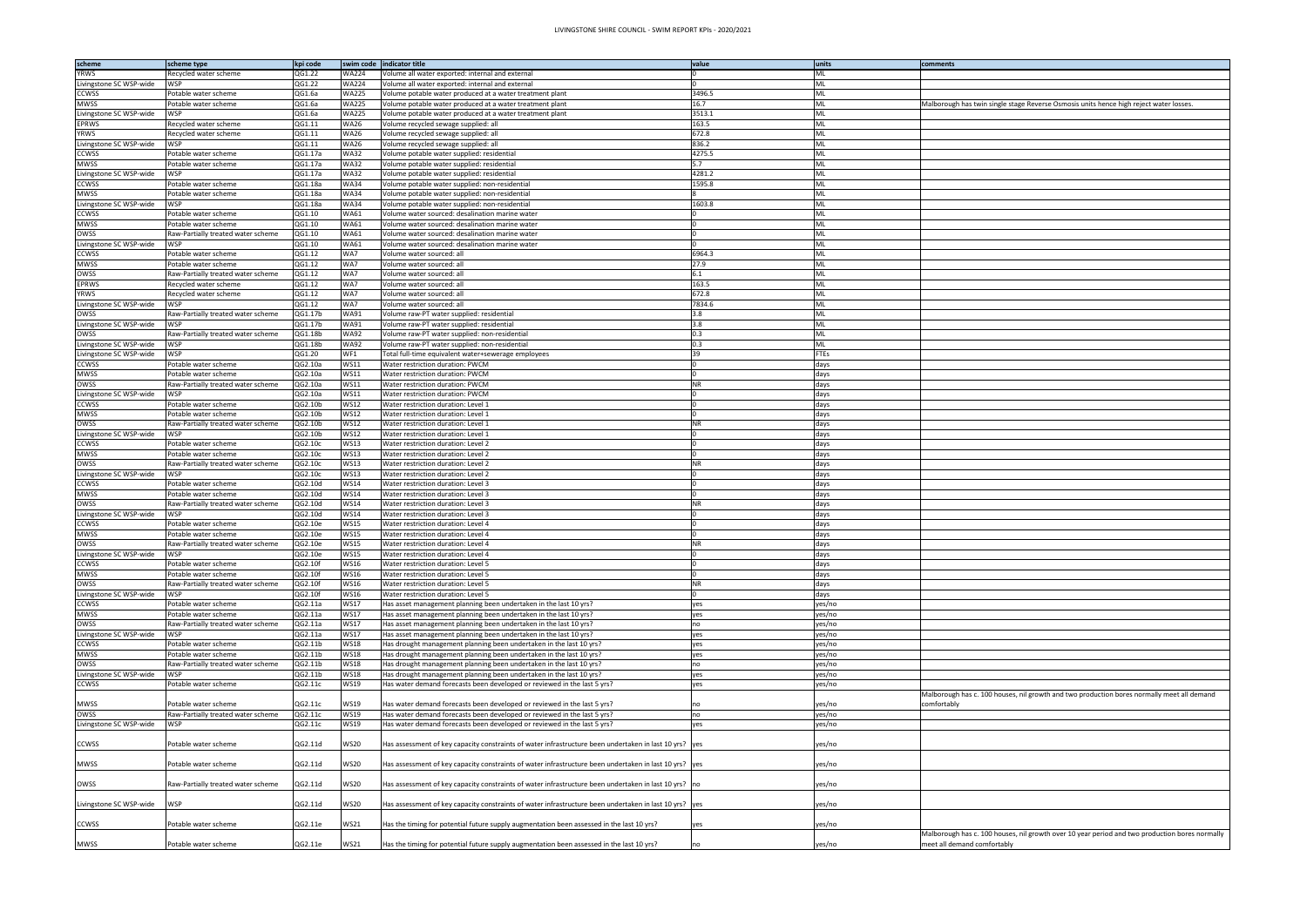| scheme                  | scheme type                        | kpi code | swim code    | indicator title                                                                                          | value     | units       | comments                                                                               |
|-------------------------|------------------------------------|----------|--------------|----------------------------------------------------------------------------------------------------------|-----------|-------------|----------------------------------------------------------------------------------------|
| <b>YRWS</b>             | Recycled water scheme              | QG1.22   | <b>WA224</b> | Volume all water exported: internal and external                                                         |           | ML          |                                                                                        |
| Livingstone SC WSP-wide | NSP.                               | QG1.22   | <b>WA224</b> | /olume all water exported: internal and external                                                         |           | ML          |                                                                                        |
| <b>CCWSS</b>            | Potable water scheme               | QG1.6a   | <b>WA225</b> | Volume potable water produced at a water treatment plant                                                 | 3496.5    | ML          |                                                                                        |
|                         |                                    |          |              |                                                                                                          |           |             |                                                                                        |
| MWSS                    | Potable water scheme               | QG1.6a   | <b>WA225</b> | Volume potable water produced at a water treatment plant                                                 | 16.7      | ML          | Malborough has twin single stage Reverse Osmosis units hence high reject water losses. |
| Livingstone SC WSP-wide | WSP                                | QG1.6a   | <b>WA225</b> | Volume potable water produced at a water treatment plant                                                 | 3513.1    | ML          |                                                                                        |
| <b>EPRWS</b>            | Recycled water scheme              | QG1.11   | <b>WA26</b>  | Volume recycled sewage supplied: all                                                                     | 163.5     | ML          |                                                                                        |
| <b>YRWS</b>             | Recycled water scheme              | QG1.11   | <b>WA26</b>  | Volume recycled sewage supplied: all                                                                     | 672.8     | ML          |                                                                                        |
| Livingstone SC WSP-wide | WSP                                | QG1.11   | <b>WA26</b>  | Volume recycled sewage supplied: all                                                                     | 836.2     | ML          |                                                                                        |
| CCWSS                   | Potable water scheme               | QG1.17a  | WA32         | Volume potable water supplied: residential                                                               | 4275.5    | ML          |                                                                                        |
| <b>MWSS</b>             | Potable water scheme               | QG1.17a  | WA32         | Volume potable water supplied: residential                                                               | 5.7       | ML          |                                                                                        |
| Livingstone SC WSP-wide | WSP                                | QG1.17a  | WA32         | Volume potable water supplied: residential                                                               | 4281.2    | ML          |                                                                                        |
| <b>CCWSS</b>            | Potable water scheme               | QG1.18a  | <b>WA34</b>  | Volume potable water supplied: non-residential                                                           | 1595.8    | ML          |                                                                                        |
| <b>MWSS</b>             | Potable water scheme               | QG1.18a  | WA34         | Volume potable water supplied: non-residential                                                           |           | ML          |                                                                                        |
| Livingstone SC WSP-wide | WSP                                | QG1.18a  | <b>WA34</b>  | Volume potable water supplied: non-residential                                                           | 1603.8    | ML          |                                                                                        |
| <b>CCWSS</b>            | Potable water scheme               | QG1.10   | WA61         | Volume water sourced: desalination marine water                                                          |           | ML          |                                                                                        |
| <b>MWSS</b>             | Potable water scheme               | QG1.10   | <b>WA61</b>  |                                                                                                          |           | ML          |                                                                                        |
|                         |                                    |          |              | Volume water sourced: desalination marine water                                                          |           |             |                                                                                        |
| OWSS                    | Raw-Partially treated water scheme | QG1.10   | WA61         | Volume water sourced: desalination marine water                                                          |           | ML          |                                                                                        |
| Livingstone SC WSP-wide | WSP                                | QG1.10   | WA61         | Volume water sourced: desalination marine water                                                          |           | ML          |                                                                                        |
| <b>CCWSS</b>            | Potable water scheme               | QG1.12   | WA7          | Volume water sourced: all                                                                                | 6964.3    | ML          |                                                                                        |
| <b>MWSS</b>             | Potable water scheme               | QG1.12   | WA7          | Volume water sourced: all                                                                                | 27.9      | ML          |                                                                                        |
| OWSS                    | Raw-Partially treated water scheme | QG1.12   | WA7          | Volume water sourced: all                                                                                | 6.1       | ML          |                                                                                        |
| <b>EPRWS</b>            | Recycled water scheme              | QG1.12   | WA7          | Volume water sourced: all                                                                                | 163.5     | ML          |                                                                                        |
| YRWS                    | Recycled water scheme              | QG1.12   | WA7          | Volume water sourced: all                                                                                | 672.8     | ML          |                                                                                        |
| Livingstone SC WSP-wide | WSP                                | QG1.12   | WA7          | Volume water sourced: all                                                                                | 7834.6    | ML          |                                                                                        |
| OWSS                    | Raw-Partially treated water scheme | QG1.17b  | WA91         | Volume raw-PT water supplied: residential                                                                | 3.8       | ML          |                                                                                        |
| Livingstone SC WSP-wide | WSP                                | QG1.17b  | <b>WA91</b>  | Volume raw-PT water supplied: residential                                                                | 3.8       | ML          |                                                                                        |
| OWSS                    | Raw-Partially treated water scheme | QG1.18b  | <b>WA92</b>  | Volume raw-PT water supplied: non-residential                                                            | 0.3       | ML          |                                                                                        |
|                         |                                    |          |              |                                                                                                          | 0.3       |             |                                                                                        |
| Livingstone SC WSP-wide | WSP                                | QG1.18b  | <b>WA92</b>  | Volume raw-PT water supplied: non-residential                                                            |           | ML          |                                                                                        |
| Livingstone SC WSP-wide | WSP                                | QG1.20   | WF1          | Total full-time equivalent water+sewerage employees                                                      | 39        | <b>FTEs</b> |                                                                                        |
| <b>CCWSS</b>            | Potable water scheme               | QG2.10a  | WS11         | Water restriction duration: PWCM                                                                         |           | days        |                                                                                        |
| <b>MWSS</b>             | Potable water scheme               | QG2.10a  | WS11         | Water restriction duration: PWCM                                                                         |           | days        |                                                                                        |
| OWSS                    | Raw-Partially treated water scheme | QG2.10a  | <b>WS11</b>  | Water restriction duration: PWCM                                                                         | <b>NR</b> | days        |                                                                                        |
| Livingstone SC WSP-wide | WSP                                | QG2.10a  | WS11         | Water restriction duration: PWCM                                                                         |           | days        |                                                                                        |
| <b>CCWSS</b>            | Potable water scheme               | QG2.10b  | WS12         | Water restriction duration: Level 1                                                                      |           | days        |                                                                                        |
| <b>MWSS</b>             | Potable water scheme               | QG2.10b  | WS12         | Water restriction duration: Level 1                                                                      |           | days        |                                                                                        |
| OWSS                    | Raw-Partially treated water scheme | QG2.10b  | WS12         | Water restriction duration: Level 1                                                                      | <b>NR</b> | days        |                                                                                        |
| Livingstone SC WSP-wide | WSP                                | QG2.10b  | <b>WS12</b>  | Water restriction duration: Level 1                                                                      |           | days        |                                                                                        |
| <b>CCWSS</b>            | Potable water scheme               | QG2.10c  | WS13         | Water restriction duration: Level 2                                                                      |           | days        |                                                                                        |
| <b>MWSS</b>             | Potable water scheme               | QG2.10c  | <b>WS13</b>  | Water restriction duration: Level 2                                                                      |           | days        |                                                                                        |
| OWSS                    | Raw-Partially treated water scheme | QG2.10c  | WS13         | Water restriction duration: Level 2                                                                      | <b>NR</b> | days        |                                                                                        |
|                         |                                    |          |              |                                                                                                          |           |             |                                                                                        |
| Livingstone SC WSP-wide | WSP                                | QG2.10c  | <b>WS13</b>  | Water restriction duration: Level 2                                                                      |           | days        |                                                                                        |
| <b>CCWSS</b>            | Potable water scheme               | QG2.10d  | <b>WS14</b>  | Water restriction duration: Level 3                                                                      |           | days        |                                                                                        |
| <b>MWSS</b>             | Potable water scheme               | QG2.10d  | <b>WS14</b>  | Water restriction duration: Level 3                                                                      |           | days        |                                                                                        |
| OWSS                    | Raw-Partially treated water scheme | QG2.10d  | WS14         | Water restriction duration: Level 3                                                                      | <b>NR</b> | days        |                                                                                        |
| Livingstone SC WSP-wide | WSP                                | QG2.10d  | <b>WS14</b>  | Water restriction duration: Level 3                                                                      |           | days        |                                                                                        |
| CCWSS                   | Potable water scheme               | QG2.10e  | WS15         | Water restriction duration: Level 4                                                                      |           | days        |                                                                                        |
| <b>MWSS</b>             | Potable water scheme               | QG2.10e  | <b>WS15</b>  | Water restriction duration: Level 4                                                                      |           | days        |                                                                                        |
| OWSS                    | Raw-Partially treated water scheme | QG2.10e  | <b>WS15</b>  | Water restriction duration: Level 4                                                                      |           | days        |                                                                                        |
| Livingstone SC WSP-wide | <b>WSP</b>                         | QG2.10e  | <b>WS15</b>  | Water restriction duration: Level 4                                                                      |           | days        |                                                                                        |
| <b>CCWSS</b>            | Potable water scheme               | QG2.10f  | <b>WS16</b>  | Water restriction duration: Level 5                                                                      |           | days        |                                                                                        |
| <b>MWSS</b>             | Potable water scheme               | QG2.10f  | <b>WS16</b>  | Water restriction duration: Level 5                                                                      |           | days        |                                                                                        |
| OWSS                    | Raw-Partially treated water scheme | QG2.10f  | <b>WS16</b>  | Water restriction duration: Level 5                                                                      | <b>NR</b> | days        |                                                                                        |
| Livingstone SC WSP-wide | WSP                                | QG2.10f  | <b>WS16</b>  | Water restriction duration: Level 5                                                                      |           | days        |                                                                                        |
| <b>CCWSS</b>            | Potable water scheme               |          | <b>WS17</b>  |                                                                                                          |           | yes/no      |                                                                                        |
|                         |                                    | QG2.11a  |              | Has asset management planning been undertaken in the last 10 yrs?                                        | yes       |             |                                                                                        |
| <b>MWSS</b>             | Potable water scheme               | QG2.11a  | <b>WS17</b>  | Has asset management planning been undertaken in the last 10 yrs?                                        | yes       | yes/no      |                                                                                        |
| OWSS                    | Raw-Partially treated water scheme | QG2.11a  | <b>WS17</b>  | Has asset management planning been undertaken in the last 10 yrs?                                        | no        | yes/no      |                                                                                        |
| Livingstone SC WSP-wide | WSP                                | QG2.11a  | <b>WS17</b>  | Has asset management planning been undertaken in the last 10 yrs?                                        | yes       | yes/no      |                                                                                        |
| <b>CCWSS</b>            | Potable water scheme               | QG2.11b  | <b>WS18</b>  | Has drought management planning been undertaken in the last 10 yrs?                                      | yes       | yes/no      |                                                                                        |
| <b>MWSS</b>             | Potable water scheme               | QG2.11b  | WS18         | Has drought management planning been undertaken in the last 10 yrs?                                      | yes       | yes/no      |                                                                                        |
| OWSS                    | Raw-Partially treated water scheme | QG2.11b  | WS18         | Has drought management planning been undertaken in the last 10 yrs?                                      | no        | yes/no      |                                                                                        |
| Livingstone SC WSP-wide | WSP                                | QG2.11b  | <b>WS18</b>  | Has drought management planning been undertaken in the last 10 yrs?                                      | yes       | yes/no      |                                                                                        |
| CCWSS                   | Potable water scheme               | QG2.11c  | WS19         | Has water demand forecasts been developed or reviewed in the last 5 yrs?                                 | yes       | yes/no      |                                                                                        |
|                         |                                    |          |              |                                                                                                          |           |             | Malborough has c. 100 houses, nil growth and two production bores normally meet all o  |
| <b>MWSS</b>             | Potable water scheme               | QG2.11c  | <b>WS19</b>  | Has water demand forecasts been developed or reviewed in the last 5 yrs?                                 |           | yes/no      | comfortably                                                                            |
| OWSS                    | Raw-Partially treated water scheme | QG2.11c  | WS19         | Has water demand forecasts been developed or reviewed in the last 5 yrs?                                 | no        | yes/no      |                                                                                        |
| Livingstone SC WSP-wide | WSP                                | QG2.11c  | WS19         | Has water demand forecasts been developed or reviewed in the last 5 yrs?                                 | yes       | yes/no      |                                                                                        |
|                         |                                    |          |              |                                                                                                          |           |             |                                                                                        |
| CCWSS                   | Potable water scheme               | QG2.11d  | <b>WS20</b>  | Has assessment of key capacity constraints of water infrastructure been undertaken in last 10 yrs?   yes |           | yes/no      |                                                                                        |
|                         |                                    |          |              |                                                                                                          |           |             |                                                                                        |
|                         |                                    |          |              |                                                                                                          |           |             |                                                                                        |
| MWSS                    | Potable water scheme               | QG2.11d  | <b>WS20</b>  | Has assessment of key capacity constraints of water infrastructure been undertaken in last 10 yrs?   yes |           | yes/no      |                                                                                        |
|                         |                                    |          |              |                                                                                                          |           |             |                                                                                        |
| OWSS                    | Raw-Partially treated water scheme | QG2.11d  | <b>WS20</b>  | Has assessment of key capacity constraints of water infrastructure been undertaken in last 10 yrs? no    |           | yes/no      |                                                                                        |
|                         |                                    |          |              |                                                                                                          |           |             |                                                                                        |
| Livingstone SC WSP-wide | WSP                                | QG2.11d  | <b>WS20</b>  | Has assessment of key capacity constraints of water infrastructure been undertaken in last 10 yrs?   yes |           | yes/no      |                                                                                        |
|                         |                                    |          |              |                                                                                                          |           |             |                                                                                        |
| CCWSS                   | Potable water scheme               | QG2.11e  | <b>WS21</b>  | Has the timing for potential future supply augmentation been assessed in the last 10 yrs?                | yes       | yes/no      |                                                                                        |
|                         |                                    |          |              |                                                                                                          |           |             | Malborough has c. 100 houses, nil growth over 10 year period and two production bore   |
| MWSS                    | Potable water scheme               | QG2.11e  | <b>WS21</b>  | Has the timing for potential future supply augmentation been assessed in the last 10 yrs?                | no        | yes/no      | meet all demand comfortably                                                            |
|                         |                                    |          |              |                                                                                                          |           |             |                                                                                        |

| comments                                                                                       |
|------------------------------------------------------------------------------------------------|
|                                                                                                |
|                                                                                                |
| Malborough has twin single stage Reverse Osmosis units hence high reject water losses.         |
|                                                                                                |
|                                                                                                |
|                                                                                                |
|                                                                                                |
|                                                                                                |
|                                                                                                |
|                                                                                                |
|                                                                                                |
|                                                                                                |
|                                                                                                |
|                                                                                                |
|                                                                                                |
|                                                                                                |
|                                                                                                |
|                                                                                                |
|                                                                                                |
|                                                                                                |
|                                                                                                |
|                                                                                                |
|                                                                                                |
|                                                                                                |
|                                                                                                |
|                                                                                                |
|                                                                                                |
|                                                                                                |
|                                                                                                |
|                                                                                                |
|                                                                                                |
|                                                                                                |
|                                                                                                |
|                                                                                                |
|                                                                                                |
|                                                                                                |
|                                                                                                |
|                                                                                                |
|                                                                                                |
|                                                                                                |
|                                                                                                |
|                                                                                                |
|                                                                                                |
|                                                                                                |
|                                                                                                |
|                                                                                                |
|                                                                                                |
|                                                                                                |
|                                                                                                |
|                                                                                                |
|                                                                                                |
|                                                                                                |
|                                                                                                |
|                                                                                                |
|                                                                                                |
|                                                                                                |
| Malborough has c. 100 houses, nil growth and two production bores normally meet all demand     |
| comfortably                                                                                    |
|                                                                                                |
|                                                                                                |
|                                                                                                |
|                                                                                                |
|                                                                                                |
|                                                                                                |
|                                                                                                |
|                                                                                                |
|                                                                                                |
|                                                                                                |
|                                                                                                |
| Malborough has c. 100 houses, nil growth over 10 year period and two production bores normally |
| meet all demand comfortably                                                                    |